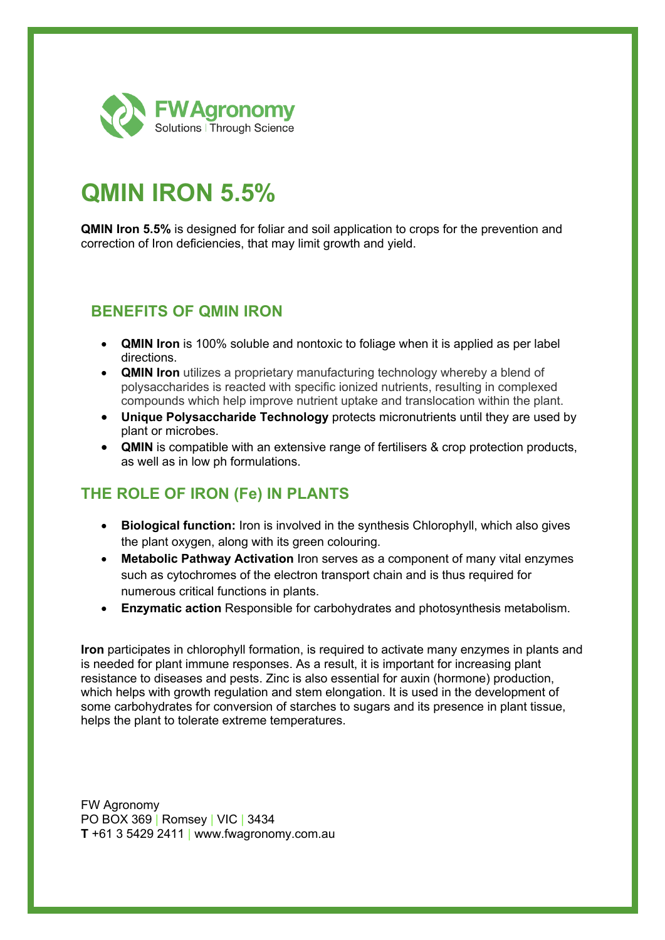

## **QMIN IRON 5.5%**

**QMIN Iron 5.5%** is designed for foliar and soil application to crops for the prevention and correction of Iron deficiencies, that may limit growth and yield.

## **BENEFITS OF QMIN IRON**

- **QMIN Iron** is 100% soluble and nontoxic to foliage when it is applied as per label directions.
- **QMIN Iron** utilizes a proprietary manufacturing technology whereby a blend of polysaccharides is reacted with specific ionized nutrients, resulting in complexed compounds which help improve nutrient uptake and translocation within the plant.
- **Unique Polysaccharide Technology** protects micronutrients until they are used by plant or microbes.
- **QMIN** is compatible with an extensive range of fertilisers & crop protection products, as well as in low ph formulations.

## **THE ROLE OF IRON (Fe) IN PLANTS**

- **Biological function:** Iron is involved in the synthesis Chlorophyll, which also gives the plant oxygen, along with its green colouring.
- **Metabolic Pathway Activation** Iron serves as a component of many vital enzymes such as cytochromes of the electron transport chain and is thus required for numerous critical functions in plants.
- **Enzymatic action** Responsible for carbohydrates and photosynthesis metabolism.

**Iron** participates in chlorophyll formation, is required to activate many enzymes in plants and is needed for plant immune responses. As a result, it is important for increasing plant resistance to diseases and pests. Zinc is also essential for auxin (hormone) production, which helps with growth regulation and stem elongation. It is used in the development of some carbohydrates for conversion of starches to sugars and its presence in plant tissue, helps the plant to tolerate extreme temperatures.

FW Agronomy PO BOX 369 | Romsey | VIC | 3434 **T** +61 3 5429 2411 | www.fwagronomy.com.au